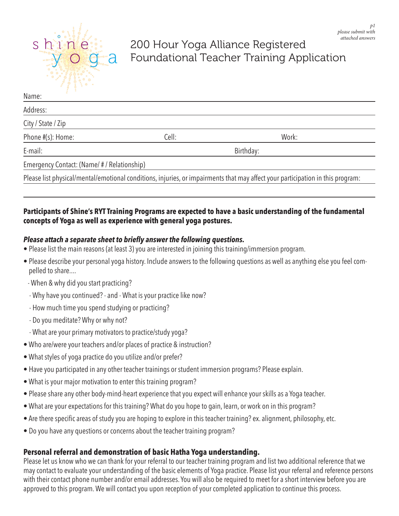

## 200 Hour Yoga Alliance Registered Foundational Teacher Training Application

| Name:                                    |           |                                                                                                                                |  |
|------------------------------------------|-----------|--------------------------------------------------------------------------------------------------------------------------------|--|
| Address:                                 |           |                                                                                                                                |  |
| City / State / Zip                       |           |                                                                                                                                |  |
| Phone #(s): Home:                        | Cell:     | Work:                                                                                                                          |  |
| E-mail:                                  | Birthday: |                                                                                                                                |  |
| Emergency Contact: (Name/#/Relationship) |           |                                                                                                                                |  |
|                                          |           | Please list physical/mental/emotional conditions, injuries, or impairments that may affect your participation in this program: |  |

### **Participants of Shine's RYT Training Programs are expected to have a basic understanding of the fundamental concepts of Yoga as well as experience with general yoga postures.**

### *Please attach a separate sheet to briefly answer the following questions.*

- Please list the main reasons (at least 3) you are interested in joining this training/immersion program.
- Please describe your personal yoga history. Include answers to the following questions as well as anything else you feel compelled to share....
- When & why did you start practicing?
- Why have you continued? and What is your practice like now?
- How much time you spend studying or practicing?
- Do you meditate? Why or why not?
- What are your primary motivators to practice/study yoga?
- Who are/were your teachers and/or places of practice & instruction?
- What styles of yoga practice do you utilize and/or prefer?
- Have you participated in any other teacher trainings or student immersion programs? Please explain.
- What is your major motivation to enter this training program?
- Please share any other body-mind-heart experience that you expect will enhance your skills as a Yoga teacher.
- What are your expectations for this training? What do you hope to gain, learn, or work on in this program?
- Are there specific areas of study you are hoping to explore in this teacher training? ex. alignment, philosophy, etc.
- Do you have any questions or concerns about the teacher training program?

### **Personal referral and demonstration of basic Hatha Yoga understanding.**

Please let us know who we can thank for your referral to our teacher training program and list two additional reference that we may contact to evaluate your understanding of the basic elements of Yoga practice. Please list your referral and reference persons with their contact phone number and/or email addresses. You will also be required to meet for a short interview before you are approved to this program. We will contact you upon reception of your completed application to continue this process.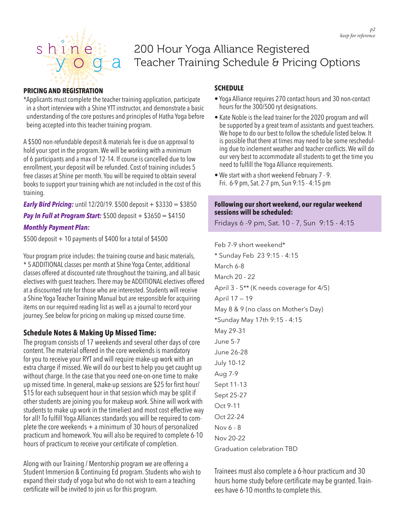

# 200 Hour Yoga Alliance Registered Teacher Training Schedule & Pricing Options

#### **PRICING AND REGISTRATION**

\*Applicants must complete the teacher training application, participate in a short interview with a Shine YTT instructor, and demonstrate a basic understanding of the core postures and principles of Hatha Yoga before being accepted into this teacher training program.

A \$500 non-refundable deposit & materials fee is due on approval to hold your spot in the program. We will be working with a minimum of 6 participants and a max of 12-14. If course is cancelled due to low enrollment, your deposit will be refunded. Cost of training includes 5 free classes at Shine per month. You will be required to obtain several books to support your training which are not included in the cost of this training.

*Early Bird Pricing:* until 12/20/19. \$500 deposit + \$3330 = \$3850 **Pay In Full at Program Start:** \$500 deposit + \$3650 = \$4150 *Monthly Payment Plan:* 

 $$500$  deposit  $+10$  payments of \$400 for a total of \$4500

Your program price includes: the training course and basic materials, \* 5 ADDITIONAL classes per month at Shine Yoga Center, additional classes offered at discounted rate throughout the training, and all basic electives with guest teachers. There may be ADDITIONAL electives offered at a discounted rate for those who are interested. Students will receive a Shine Yoga Teacher Training Manual but are responsible for acquiring items on our required reading list as well as a journal to record your journey. See below for pricing on making up missed course time.

#### **Schedule Notes & Making Up Missed Time:**

The program consists of 17 weekends and several other days of core content. The material offered in the core weekends is mandatory for you to receive your RYT and will require make-up work with an extra charge if missed. We will do our best to help you get caught up without charge. In the case that you need one-on-one time to make up missed time. In general, make-up sessions are \$25 for first hour/ \$15 for each subsequent hour in that session which may be split if other students are joining you for makeup work. Shine will work with students to make up work in the timeliest and most cost effective way for all! To fulfill Yoga Alliances standards you will be required to complete the core weekends + a minimum of 30 hours of personalized practicum and homework. You will also be required to complete 6-10 hours of practicum to receive your certificate of completion.

Along with our Training / Mentorship program we are offering a Student Immersion & Continuing Ed program. Students who wish to expand their study of yoga but who do not wish to earn a teaching certificate will be invited to join us for this program.

#### **SCHEDULE**

- Yoga Alliance requires 270 contact hours and 30 non-contact hours for the 300/500 ryt designations.
- Kate Noble is the lead trainer for the 2020 program and will be supported by a great team of assistants and guest teachers. We hope to do our best to follow the schedule listed below. It is possible that there at times may need to be some rescheduling due to inclement weather and teacher conflicts. We will do our very best to accommodate all students to get the time you need to fulfill the Yoga Alliance requirements.
- We start with a short weekend February 7 9. Fri. 6-9 pm, Sat. 2-7 pm, Sun 9:15 - 4:15 pm

#### **Following our short weekend, our regular weekend sessions will be scheduled:**

Fridays 6 -9 pm, Sat. 10 - 7, Sun 9:15 - 4:15

Feb 7-9 short weekend\* \* Sunday Feb 23 9:15 - 4:15 March 6-8 March 20 - 22 April 3 - 5\*\* (K needs coverage for 4/5) April 17 — 19 May 8 & 9 (no class on Mother's Day) \*Sunday May 17th 9:15 - 4:15 May 29-31 June 5-7 June 26-28 July 10-12 Aug 7-9 Sept 11-13 Sept 25-27 Oct 9-11 Oct 22-24 Nov 6 - 8 Nov 20-22 Graduation celebration TBD

Trainees must also complete a 6-hour practicum and 30 hours home study before certificate may be granted. Trainees have 6-10 months to complete this.